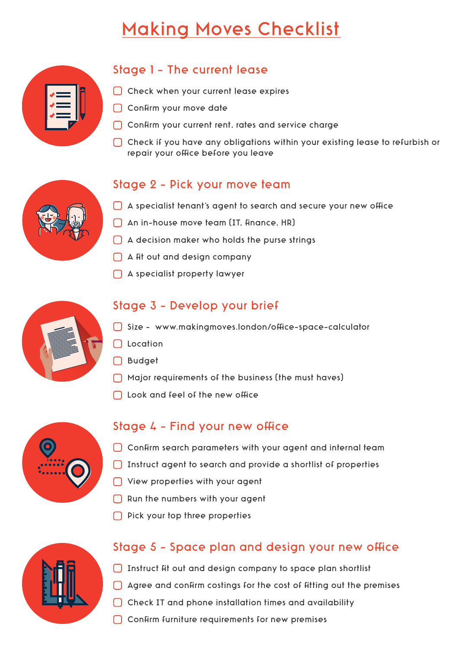# Making Moves Checklist

| $\bullet$<br>r ⊿ | Ÿ |
|------------------|---|
|                  |   |

# Stage 1 - The current lease

- C Check when your current lease expires
- $\bigcap$  Confirm your move date
- $\Box$  Confirm your current rent, rates and service charge
- $\bigcap$  Check if you have any obligations within your existing lease to refurbish or repair your office before you leave

### Stage 2 - Pick your move team

- $\Box$  A specialist tenant's agent to search and secure your new office
- $\Box$  An in-house move team (IT, finance, HR)
- A decision maker who holds the purse strings
- $\bigcap$  A fit out and design company
- A specialist property lawyer



## Stage 3 - Develop your brief

- $\bigcap$  Size www.makingmoves.london/office-space-calculator
- **Location**
- Budget
- Major requirements of the business (the must haves)
- $\Box$  Look and feel of the new office



#### Stage  $4$  - Find your new office

- $\Box$  Confirm search parameters with your agent and internal team
- Instruct agent to search and provide a shortlist of properties
- ◯ View properties with your agent
- $\Box$  Run the numbers with your agent
- $\bigcap$  Pick your top three properties



## Stage 5 - Space plan and design your new office

- $\Box$  Instruct fit out and design company to space plan shortlist
- $\Box$  Agree and confirm costings for the cost of fitting out the premises
- $\Box$  Check IT and phone installation times and availability
- $\bigcap$  Confirm furniture requirements for new premises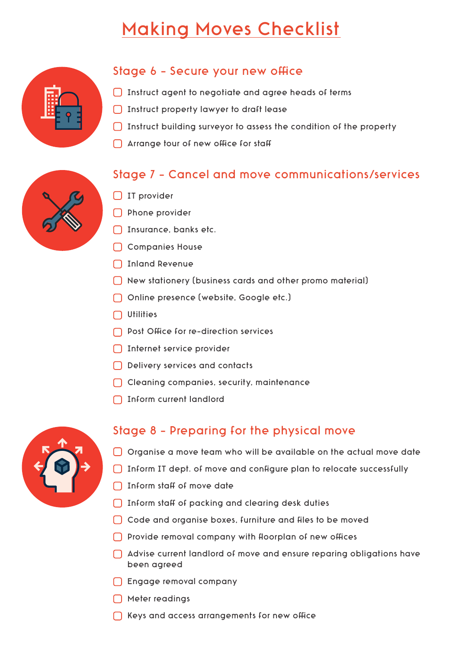# Making Moves Checklist



### Stage 6 - Secure your new office

- $\Box$  Instruct agent to negotiate and agree heads of terms
- Instruct property lawyer to draft lease
- Instruct building surveyor to assess the condition of the property
- $\bigcap$  Arrange tour of new office for staff

## Stage 7 - Cancel and move communications/services



- $\bigcap$  IT provider
- **Phone provider**
- □ Insurance, banks etc.
- □ Companies House
- □ Inland Revenue
- New stationery (business cards and other promo material)
- Online presence (website, Google etc.)
- $\Box$  Utilities
- $\bigcap$  Post Office for re-direction services
- Internet service provider
- Delivery services and contacts
- Cleaning companies, security, maintenance
- □ Inform current landlord



#### Stage 8 - Preparing for the physical move

- $\bigcap$  Organise a move team who will be available on the actual move date
- $\Box$  Inform IT dept. of move and configure plan to relocate successfully
- $\bigcap$  Inform staff of move date
- $\Box$  Inform staff of packing and clearing desk duties
- $\Box$  Code and organise boxes, furniture and files to be moved
- $\Box$  Provide removal company with floorplan of new offices
- Advise current landlord of move and ensure reparing obligations have been agreed
- Engage removal company
- Meter readings
- $\bigcap$  Keys and access arrangements for new office